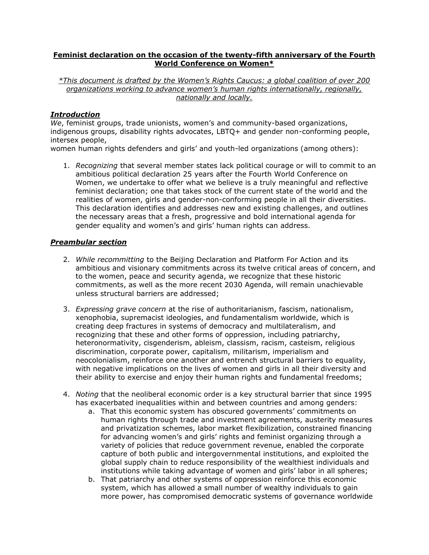## **Feminist declaration on the occasion of the twenty-fifth anniversary of the Fourth World Conference on Women\***

*\*This document is drafted by the Women's Rights Caucus: a global coalition of over 200 organizations working to advance women's human rights internationally, regionally, nationally and locally.* 

## *Introduction*

*We*, feminist groups, trade unionists, women's and community-based organizations, indigenous groups, disability rights advocates, LBTQ+ and gender non-conforming people, intersex people,

women human rights defenders and girls' and youth-led organizations (among others):

1. *Recognizing* that several member states lack political courage or will to commit to an ambitious political declaration 25 years after the Fourth World Conference on Women, we undertake to offer what we believe is a truly meaningful and reflective feminist declaration; one that takes stock of the current state of the world and the realities of women, girls and gender-non-conforming people in all their diversities. This declaration identifies and addresses new and existing challenges, and outlines the necessary areas that a fresh, progressive and bold international agenda for gender equality and women's and girls' human rights can address.

## *Preambular section*

- 2. *While recommitting* to the Beijing Declaration and Platform For Action and its ambitious and visionary commitments across its twelve critical areas of concern, and to the women, peace and security agenda, we recognize that these historic commitments, as well as the more recent 2030 Agenda, will remain unachievable unless structural barriers are addressed;
- 3. *Expressing grave concern* at the rise of authoritarianism, fascism, nationalism, xenophobia, supremacist ideologies, and fundamentalism worldwide, which is creating deep fractures in systems of democracy and multilateralism, and recognizing that these and other forms of oppression, including patriarchy, heteronormativity, cisgenderism, ableism, classism, racism, casteism, religious discrimination, corporate power, capitalism, militarism, imperialism and neocolonialism, reinforce one another and entrench structural barriers to equality, with negative implications on the lives of women and girls in all their diversity and their ability to exercise and enjoy their human rights and fundamental freedoms;
- 4. *Noting* that the neoliberal economic order is a key structural barrier that since 1995 has exacerbated inequalities within and between countries and among genders:
	- a. That this economic system has obscured governments' commitments on human rights through trade and investment agreements, austerity measures and privatization schemes, labor market flexibilization, constrained financing for advancing women's and girls' rights and feminist organizing through a variety of policies that reduce government revenue, enabled the corporate capture of both public and intergovernmental institutions, and exploited the global supply chain to reduce responsibility of the wealthiest individuals and institutions while taking advantage of women and girls' labor in all spheres;
	- b. That patriarchy and other systems of oppression reinforce this economic system, which has allowed a small number of wealthy individuals to gain more power, has compromised democratic systems of governance worldwide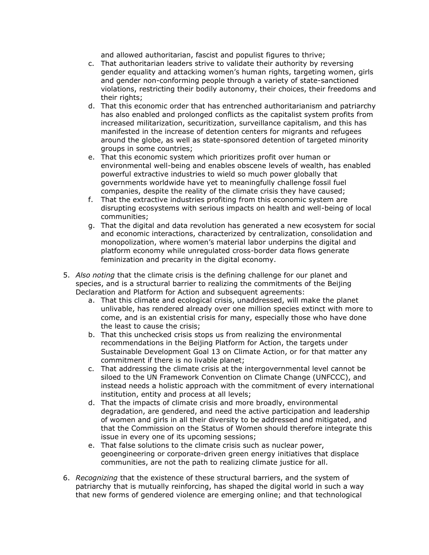and allowed authoritarian, fascist and populist figures to thrive;

- c. That authoritarian leaders strive to validate their authority by reversing gender equality and attacking women's human rights, targeting women, girls and gender non-conforming people through a variety of state-sanctioned violations, restricting their bodily autonomy, their choices, their freedoms and their rights:
- d. That this economic order that has entrenched authoritarianism and patriarchy has also enabled and prolonged conflicts as the capitalist system profits from increased militarization, securitization, surveillance capitalism, and this has manifested in the increase of detention centers for migrants and refugees around the globe, as well as state-sponsored detention of targeted minority groups in some countries;
- e. That this economic system which prioritizes profit over human or environmental well-being and enables obscene levels of wealth, has enabled powerful extractive industries to wield so much power globally that governments worldwide have yet to meaningfully challenge fossil fuel companies, despite the reality of the climate crisis they have caused;
- f. That the extractive industries profiting from this economic system are disrupting ecosystems with serious impacts on health and well-being of local communities;
- g. That the digital and data revolution has generated a new ecosystem for social and economic interactions, characterized by centralization, consolidation and monopolization, where women's material labor underpins the digital and platform economy while unregulated cross-border data flows generate feminization and precarity in the digital economy.
- 5. *Also noting* that the climate crisis is the defining challenge for our planet and species, and is a structural barrier to realizing the commitments of the Beijing Declaration and Platform for Action and subsequent agreements:
	- a. That this climate and ecological crisis, unaddressed, will make the planet unlivable, has rendered already over one million species extinct with more to come, and is an existential crisis for many, especially those who have done the least to cause the crisis;
	- b. That this unchecked crisis stops us from realizing the environmental recommendations in the Beijing Platform for Action, the targets under Sustainable Development Goal 13 on Climate Action, or for that matter any commitment if there is no livable planet;
	- c. That addressing the climate crisis at the intergovernmental level cannot be siloed to the UN Framework Convention on Climate Change (UNFCCC), and instead needs a holistic approach with the commitment of every international institution, entity and process at all levels;
	- d. That the impacts of climate crisis and more broadly, environmental degradation, are gendered, and need the active participation and leadership of women and girls in all their diversity to be addressed and mitigated, and that the Commission on the Status of Women should therefore integrate this issue in every one of its upcoming sessions;
	- e. That false solutions to the climate crisis such as nuclear power, geoengineering or corporate-driven green energy initiatives that displace communities, are not the path to realizing climate justice for all.
- 6. *Recognizing* that the existence of these structural barriers, and the system of patriarchy that is mutually reinforcing, has shaped the digital world in such a way that new forms of gendered violence are emerging online; and that technological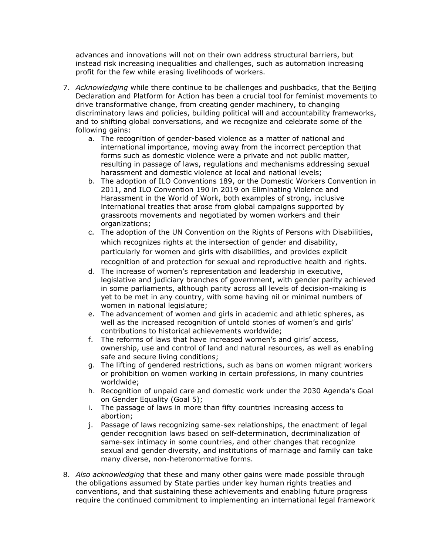advances and innovations will not on their own address structural barriers, but instead risk increasing inequalities and challenges, such as automation increasing profit for the few while erasing livelihoods of workers.

- 7. *Acknowledging* while there continue to be challenges and pushbacks, that the Beijing Declaration and Platform for Action has been a crucial tool for feminist movements to drive transformative change, from creating gender machinery, to changing discriminatory laws and policies, building political will and accountability frameworks, and to shifting global conversations, and we recognize and celebrate some of the following gains:
	- a. The recognition of gender-based violence as a matter of national and international importance, moving away from the incorrect perception that forms such as domestic violence were a private and not public matter, resulting in passage of laws, regulations and mechanisms addressing sexual harassment and domestic violence at local and national levels;
	- b. The adoption of ILO Conventions 189, or the Domestic Workers Convention in 2011, and ILO Convention 190 in 2019 on Eliminating Violence and Harassment in the World of Work, both examples of strong, inclusive international treaties that arose from global campaigns supported by grassroots movements and negotiated by women workers and their organizations;
	- c. The adoption of the UN Convention on the Rights of Persons with Disabilities, which recognizes rights at the intersection of gender and disability, particularly for women and girls with disabilities, and provides explicit recognition of and protection for sexual and reproductive health and rights.
	- d. The increase of women's representation and leadership in executive, legislative and judiciary branches of government, with gender parity achieved in some parliaments, although parity across all levels of decision-making is yet to be met in any country, with some having nil or minimal numbers of women in national legislature:
	- e. The advancement of women and girls in academic and athletic spheres, as well as the increased recognition of untold stories of women's and girls' contributions to historical achievements worldwide;
	- f. The reforms of laws that have increased women's and girls' access, ownership, use and control of land and natural resources, as well as enabling safe and secure living conditions;
	- g. The lifting of gendered restrictions, such as bans on women migrant workers or prohibition on women working in certain professions, in many countries worldwide;
	- h. Recognition of unpaid care and domestic work under the 2030 Agenda's Goal on Gender Equality (Goal 5);
	- i. The passage of laws in more than fifty countries increasing access to abortion;
	- j. Passage of laws recognizing same-sex relationships, the enactment of legal gender recognition laws based on self-determination, decriminalization of same-sex intimacy in some countries, and other changes that recognize sexual and gender diversity, and institutions of marriage and family can take many diverse, non-heteronormative forms.
- 8. *Also acknowledging* that these and many other gains were made possible through the obligations assumed by State parties under key human rights treaties and conventions, and that sustaining these achievements and enabling future progress require the continued commitment to implementing an international legal framework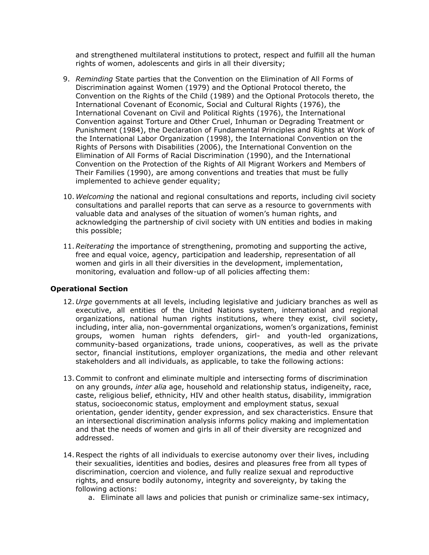and strengthened multilateral institutions to protect, respect and fulfill all the human rights of women, adolescents and girls in all their diversity;

- 9. *Reminding* State parties that the Convention on the Elimination of All Forms of Discrimination against Women (1979) and the Optional Protocol thereto, the Convention on the Rights of the Child (1989) and the Optional Protocols thereto, the International Covenant of Economic, Social and Cultural Rights (1976), the International Covenant on Civil and Political Rights (1976), the International Convention against Torture and Other Cruel, Inhuman or Degrading Treatment or Punishment (1984), the Declaration of Fundamental Principles and Rights at Work of the International Labor Organization (1998), the International Convention on the Rights of Persons with Disabilities (2006), the International Convention on the Elimination of All Forms of Racial Discrimination (1990), and the International Convention on the Protection of the Rights of All Migrant Workers and Members of Their Families (1990), are among conventions and treaties that must be fully implemented to achieve gender equality;
- 10. *Welcoming* the national and regional consultations and reports, including civil society consultations and parallel reports that can serve as a resource to governments with valuable data and analyses of the situation of women's human rights, and acknowledging the partnership of civil society with UN entities and bodies in making this possible;
- 11.*Reiterating* the importance of strengthening, promoting and supporting the active, free and equal voice, agency, participation and leadership, representation of all women and girls in all their diversities in the development, implementation, monitoring, evaluation and follow-up of all policies affecting them:

## **Operational Section**

- 12. *Urge* governments at all levels, including legislative and judiciary branches as well as executive, all entities of the United Nations system, international and regional organizations, national human rights institutions, where they exist, civil society, including, inter alia, non-governmental organizations, women's organizations, feminist groups, women human rights defenders, girl- and youth-led organizations, community-based organizations, trade unions, cooperatives, as well as the private sector, financial institutions, employer organizations, the media and other relevant stakeholders and all individuals, as applicable, to take the following actions:
- 13.Commit to confront and eliminate multiple and intersecting forms of discrimination on any grounds, *inter alia* age, household and relationship status, indigeneity, race, caste, religious belief, ethnicity, HIV and other health status, disability, immigration status, socioeconomic status, employment and employment status, sexual orientation, gender identity, gender expression, and sex characteristics. Ensure that an intersectional discrimination analysis informs policy making and implementation and that the needs of women and girls in all of their diversity are recognized and addressed.
- 14.Respect the rights of all individuals to exercise autonomy over their lives, including their sexualities, identities and bodies, desires and pleasures free from all types of discrimination, coercion and violence, and fully realize sexual and reproductive rights, and ensure bodily autonomy, integrity and sovereignty, by taking the following actions:
	- a. Eliminate all laws and policies that punish or criminalize same-sex intimacy,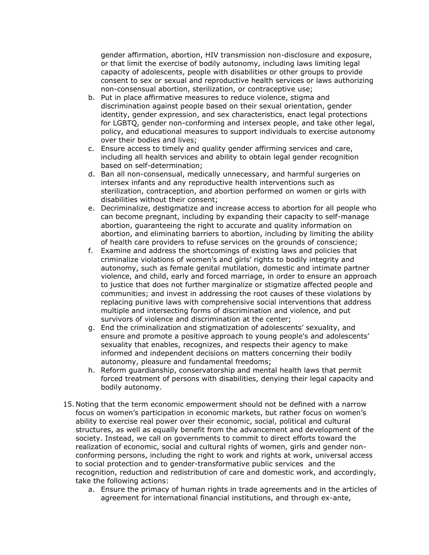gender affirmation, abortion, HIV transmission non-disclosure and exposure, or that limit the exercise of bodily autonomy, including laws limiting legal capacity of adolescents, people with disabilities or other groups to provide consent to sex or sexual and reproductive health services or laws authorizing non-consensual abortion, sterilization, or contraceptive use;

- b. Put in place affirmative measures to reduce violence, stigma and discrimination against people based on their sexual orientation, gender identity, gender expression, and sex characteristics, enact legal protections for LGBTQ, gender non-conforming and intersex people, and take other legal, policy, and educational measures to support individuals to exercise autonomy over their bodies and lives;
- c. Ensure access to timely and quality gender affirming services and care, including all health services and ability to obtain legal gender recognition based on self-determination;
- d. Ban all non-consensual, medically unnecessary, and harmful surgeries on intersex infants and any reproductive health interventions such as sterilization, contraception, and abortion performed on women or girls with disabilities without their consent;
- e. Decriminalize, destigmatize and increase access to abortion for all people who can become pregnant, including by expanding their capacity to self-manage abortion, guaranteeing the right to accurate and quality information on abortion, and eliminating barriers to abortion, including by limiting the ability of health care providers to refuse services on the grounds of conscience;
- f. Examine and address the shortcomings of existing laws and policies that criminalize violations of women's and girls' rights to bodily integrity and autonomy, such as female genital mutilation, domestic and intimate partner violence, and child, early and forced marriage, in order to ensure an approach to justice that does not further marginalize or stigmatize affected people and communities; and invest in addressing the root causes of these violations by replacing punitive laws with comprehensive social interventions that address multiple and intersecting forms of discrimination and violence, and put survivors of violence and discrimination at the center;
- g. End the criminalization and stigmatization of adolescents' sexuality, and ensure and promote a positive approach to young people's and adolescents' sexuality that enables, recognizes, and respects their agency to make informed and independent decisions on matters concerning their bodily autonomy, pleasure and fundamental freedoms;
- h. Reform guardianship, conservatorship and mental health laws that permit forced treatment of persons with disabilities, denying their legal capacity and bodily autonomy.
- 15. Noting that the term economic empowerment should not be defined with a narrow focus on women's participation in economic markets, but rather focus on women's ability to exercise real power over their economic, social, political and cultural structures, as well as equally benefit from the advancement and development of the society. Instead, we call on governments to commit to direct efforts toward the realization of economic, social and cultural rights of women, girls and gender nonconforming persons, including the right to work and rights at work, universal access to social protection and to gender-transformative public services and the recognition, reduction and redistribution of care and domestic work, and accordingly, take the following actions:
	- a. Ensure the primacy of human rights in trade agreements and in the articles of agreement for international financial institutions, and through ex-ante,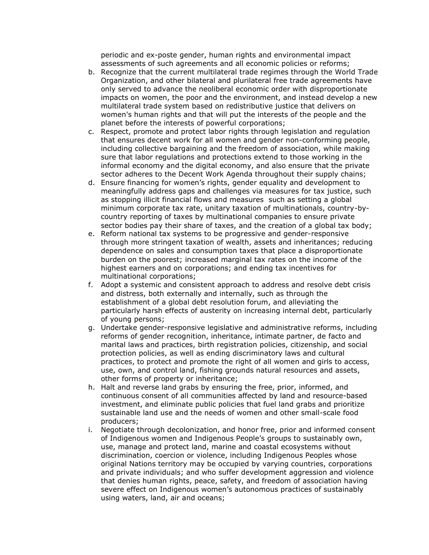periodic and ex-poste gender, human rights and environmental impact assessments of such agreements and all economic policies or reforms;

- b. Recognize that the current multilateral trade regimes through the World Trade Organization, and other bilateral and plurilateral free trade agreements have only served to advance the neoliberal economic order with disproportionate impacts on women, the poor and the environment, and instead develop a new multilateral trade system based on redistributive justice that delivers on women's human rights and that will put the interests of the people and the planet before the interests of powerful corporations;
- c. Respect, promote and protect labor rights through legislation and regulation that ensures decent work for all women and gender non-conforming people, including collective bargaining and the freedom of association, while making sure that labor regulations and protections extend to those working in the informal economy and the digital economy, and also ensure that the private sector adheres to the Decent Work Agenda throughout their supply chains;
- d. Ensure financing for women's rights, gender equality and development to meaningfully address gaps and challenges via measures for tax justice, such as stopping illicit financial flows and measures such as setting a global minimum corporate tax rate, unitary taxation of multinationals, country-bycountry reporting of taxes by multinational companies to ensure private sector bodies pay their share of taxes, and the creation of a global tax body;
- e. Reform national tax systems to be progressive and gender-responsive through more stringent taxation of wealth, assets and inheritances; reducing dependence on sales and consumption taxes that place a disproportionate burden on the poorest; increased marginal tax rates on the income of the highest earners and on corporations; and ending tax incentives for multinational corporations;
- f. Adopt a systemic and consistent approach to address and resolve debt crisis and distress, both externally and internally, such as through the establishment of a global debt resolution forum, and alleviating the particularly harsh effects of austerity on increasing internal debt, particularly of young persons;
- g. Undertake gender-responsive legislative and administrative reforms, including reforms of gender recognition, inheritance, intimate partner, de facto and marital laws and practices, birth registration policies, citizenship, and social protection policies, as well as ending discriminatory laws and cultural practices, to protect and promote the right of all women and girls to access, use, own, and control land, fishing grounds natural resources and assets, other forms of property or inheritance;
- h. Halt and reverse land grabs by ensuring the free, prior, informed, and continuous consent of all communities affected by land and resource-based investment, and eliminate public policies that fuel land grabs and prioritize sustainable land use and the needs of women and other small-scale food producers;
- i. Negotiate through decolonization, and honor free, prior and informed consent of Indigenous women and Indigenous People's groups to sustainably own, use, manage and protect land, marine and coastal ecosystems without discrimination, coercion or violence, including Indigenous Peoples whose original Nations territory may be occupied by varying countries, corporations and private individuals; and who suffer development aggression and violence that denies human rights, peace, safety, and freedom of association having severe effect on Indigenous women's autonomous practices of sustainably using waters, land, air and oceans;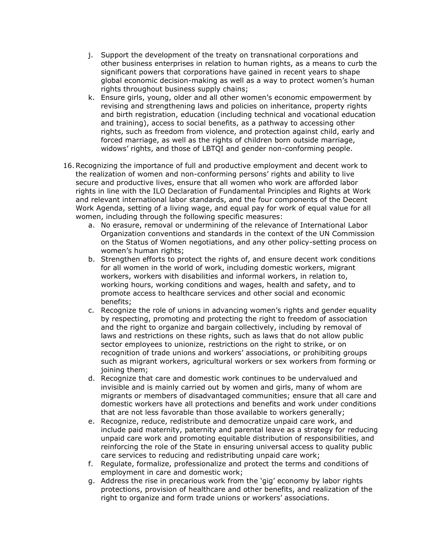- j. Support the development of the treaty on transnational corporations and other business enterprises in relation to human rights, as a means to curb the significant powers that corporations have gained in recent years to shape global economic decision-making as well as a way to protect women's human rights throughout business supply chains;
- k. Ensure girls, young, older and all other women's economic empowerment by revising and strengthening laws and policies on inheritance, property rights and birth registration, education (including technical and vocational education and training), access to social benefits, as a pathway to accessing other rights, such as freedom from violence, and protection against child, early and forced marriage, as well as the rights of children born outside marriage, widows' rights, and those of LBTQI and gender non-conforming people.
- 16.Recognizing the importance of full and productive employment and decent work to the realization of women and non-conforming persons' rights and ability to live secure and productive lives, ensure that all women who work are afforded labor rights in line with the ILO Declaration of Fundamental Principles and Rights at Work and relevant international labor standards, and the four components of the Decent Work Agenda, setting of a living wage, and equal pay for work of equal value for all women, including through the following specific measures:
	- a. No erasure, removal or undermining of the relevance of International Labor Organization conventions and standards in the context of the UN Commission on the Status of Women negotiations, and any other policy-setting process on women's human rights;
	- b. Strengthen efforts to protect the rights of, and ensure decent work conditions for all women in the world of work, including domestic workers, migrant workers, workers with disabilities and informal workers, in relation to, working hours, working conditions and wages, health and safety, and to promote access to healthcare services and other social and economic benefits;
	- c. Recognize the role of unions in advancing women's rights and gender equality by respecting, promoting and protecting the right to freedom of association and the right to organize and bargain collectively, including by removal of laws and restrictions on these rights, such as laws that do not allow public sector employees to unionize, restrictions on the right to strike, or on recognition of trade unions and workers' associations, or prohibiting groups such as migrant workers, agricultural workers or sex workers from forming or joining them;
	- d. Recognize that care and domestic work continues to be undervalued and invisible and is mainly carried out by women and girls, many of whom are migrants or members of disadvantaged communities; ensure that all care and domestic workers have all protections and benefits and work under conditions that are not less favorable than those available to workers generally;
	- e. Recognize, reduce, redistribute and democratize unpaid care work, and include paid maternity, paternity and parental leave as a strategy for reducing unpaid care work and promoting equitable distribution of responsibilities, and reinforcing the role of the State in ensuring universal access to quality public care services to reducing and redistributing unpaid care work;
	- f. Regulate, formalize, professionalize and protect the terms and conditions of employment in care and domestic work;
	- g. Address the rise in precarious work from the 'gig' economy by labor rights protections, provision of healthcare and other benefits, and realization of the right to organize and form trade unions or workers' associations.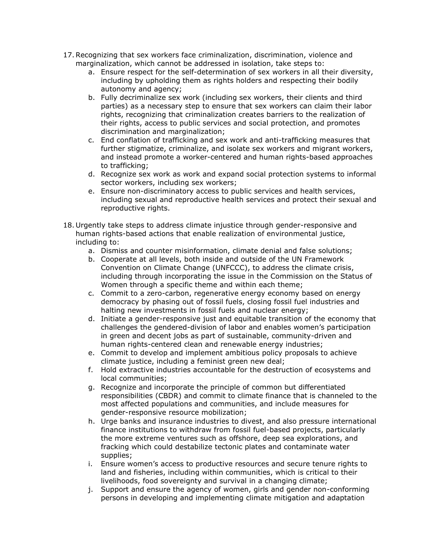- 17.Recognizing that sex workers face criminalization, discrimination, violence and marginalization, which cannot be addressed in isolation, take steps to:
	- a. Ensure respect for the self-determination of sex workers in all their diversity, including by upholding them as rights holders and respecting their bodily autonomy and agency;
	- b. Fully decriminalize sex work (including sex workers, their clients and third parties) as a necessary step to ensure that sex workers can claim their labor rights, recognizing that criminalization creates barriers to the realization of their rights, access to public services and social protection, and promotes discrimination and marginalization;
	- c. End conflation of trafficking and sex work and anti-trafficking measures that further stigmatize, criminalize, and isolate sex workers and migrant workers, and instead promote a worker-centered and human rights-based approaches to trafficking;
	- d. Recognize sex work as work and expand social protection systems to informal sector workers, including sex workers;
	- e. Ensure non-discriminatory access to public services and health services, including sexual and reproductive health services and protect their sexual and reproductive rights.
- 18. Urgently take steps to address climate injustice through gender-responsive and human rights-based actions that enable realization of environmental justice, including to:
	- a. Dismiss and counter misinformation, climate denial and false solutions;
	- b. Cooperate at all levels, both inside and outside of the UN Framework Convention on Climate Change (UNFCCC), to address the climate crisis, including through incorporating the issue in the Commission on the Status of Women through a specific theme and within each theme;
	- c. Commit to a zero-carbon, regenerative energy economy based on energy democracy by phasing out of fossil fuels, closing fossil fuel industries and halting new investments in fossil fuels and nuclear energy;
	- d. Initiate a gender-responsive just and equitable transition of the economy that challenges the gendered-division of labor and enables women's participation in green and decent jobs as part of sustainable, community-driven and human rights-centered clean and renewable energy industries;
	- e. Commit to develop and implement ambitious policy proposals to achieve climate justice, including a feminist green new deal;
	- f. Hold extractive industries accountable for the destruction of ecosystems and local communities;
	- g. Recognize and incorporate the principle of common but differentiated responsibilities (CBDR) and commit to climate finance that is channeled to the most affected populations and communities, and include measures for gender-responsive resource mobilization;
	- h. Urge banks and insurance industries to divest, and also pressure international finance institutions to withdraw from fossil fuel-based projects, particularly the more extreme ventures such as offshore, deep sea explorations, and fracking which could destabilize tectonic plates and contaminate water supplies;
	- i. Ensure women's access to productive resources and secure tenure rights to land and fisheries, including within communities, which is critical to their livelihoods, food sovereignty and survival in a changing climate;
	- j. Support and ensure the agency of women, girls and gender non-conforming persons in developing and implementing climate mitigation and adaptation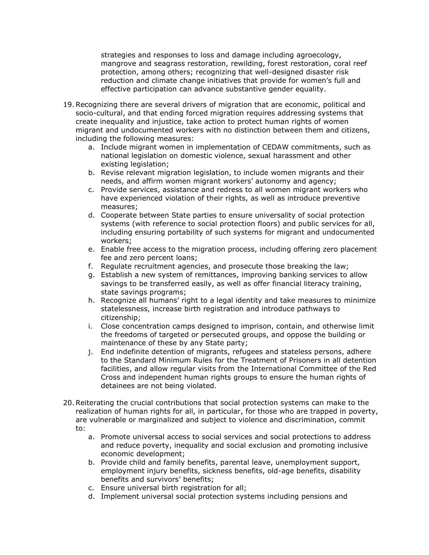strategies and responses to loss and damage including agroecology, mangrove and seagrass restoration, rewilding, forest restoration, coral reef protection, among others; recognizing that well-designed disaster risk reduction and climate change initiatives that provide for women's full and effective participation can advance substantive gender equality.

- 19.Recognizing there are several drivers of migration that are economic, political and socio-cultural, and that ending forced migration requires addressing systems that create inequality and injustice, take action to protect human rights of women migrant and undocumented workers with no distinction between them and citizens, including the following measures:
	- a. Include migrant women in implementation of CEDAW commitments, such as national legislation on domestic violence, sexual harassment and other existing legislation;
	- b. Revise relevant migration legislation, to include women migrants and their needs, and affirm women migrant workers' autonomy and agency;
	- c. Provide services, assistance and redress to all women migrant workers who have experienced violation of their rights, as well as introduce preventive measures;
	- d. Cooperate between State parties to ensure universality of social protection systems (with reference to social protection floors) and public services for all, including ensuring portability of such systems for migrant and undocumented workers;
	- e. Enable free access to the migration process, including offering zero placement fee and zero percent loans;
	- f. Regulate recruitment agencies, and prosecute those breaking the law;
	- g. Establish a new system of remittances, improving banking services to allow savings to be transferred easily, as well as offer financial literacy training, state savings programs;
	- h. Recognize all humans' right to a legal identity and take measures to minimize statelessness, increase birth registration and introduce pathways to citizenship;
	- i. Close concentration camps designed to imprison, contain, and otherwise limit the freedoms of targeted or persecuted groups, and oppose the building or maintenance of these by any State party;
	- j. End indefinite detention of migrants, refugees and stateless persons, adhere to the Standard Minimum Rules for the Treatment of Prisoners in all detention facilities, and allow regular visits from the International Committee of the Red Cross and independent human rights groups to ensure the human rights of detainees are not being violated.
- 20.Reiterating the crucial contributions that social protection systems can make to the realization of human rights for all, in particular, for those who are trapped in poverty, are vulnerable or marginalized and subject to violence and discrimination, commit to:
	- a. Promote universal access to social services and social protections to address and reduce poverty, inequality and social exclusion and promoting inclusive economic development;
	- b. Provide child and family benefits, parental leave, unemployment support, employment injury benefits, sickness benefits, old-age benefits, disability benefits and survivors' benefits;
	- c. Ensure universal birth registration for all;
	- d. Implement universal social protection systems including pensions and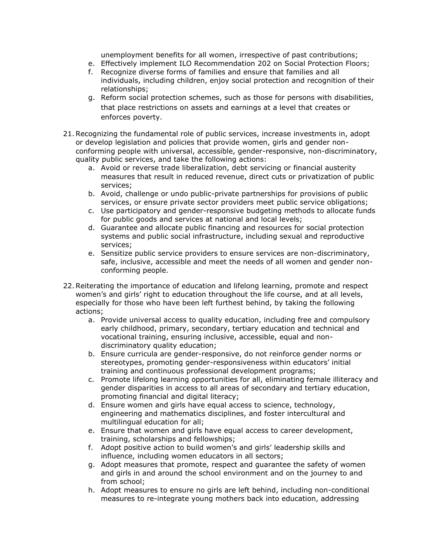unemployment benefits for all women, irrespective of past contributions;

- e. Effectively implement ILO Recommendation 202 on Social Protection Floors;
- f. Recognize diverse forms of families and ensure that families and all individuals, including children, enjoy social protection and recognition of their relationships;
- g. Reform social protection schemes, such as those for persons with disabilities, that place restrictions on assets and earnings at a level that creates or enforces poverty.
- 21.Recognizing the fundamental role of public services, increase investments in, adopt or develop legislation and policies that provide women, girls and gender nonconforming people with universal, accessible, gender-responsive, non-discriminatory, quality public services, and take the following actions:
	- a. Avoid or reverse trade liberalization, debt servicing or financial austerity measures that result in reduced revenue, direct cuts or privatization of public services;
	- b. Avoid, challenge or undo public-private partnerships for provisions of public services, or ensure private sector providers meet public service obligations;
	- c. Use participatory and gender-responsive budgeting methods to allocate funds for public goods and services at national and local levels;
	- d. Guarantee and allocate public financing and resources for social protection systems and public social infrastructure, including sexual and reproductive services;
	- e. Sensitize public service providers to ensure services are non-discriminatory, safe, inclusive, accessible and meet the needs of all women and gender nonconforming people.
- 22.Reiterating the importance of education and lifelong learning, promote and respect women's and girls' right to education throughout the life course, and at all levels, especially for those who have been left furthest behind, by taking the following actions;
	- a. Provide universal access to quality education, including free and compulsory early childhood, primary, secondary, tertiary education and technical and vocational training, ensuring inclusive, accessible, equal and nondiscriminatory quality education;
	- b. Ensure curricula are gender-responsive, do not reinforce gender norms or stereotypes, promoting gender-responsiveness within educators' initial training and continuous professional development programs;
	- c. Promote lifelong learning opportunities for all, eliminating female illiteracy and gender disparities in access to all areas of secondary and tertiary education, promoting financial and digital literacy;
	- d. Ensure women and girls have equal access to science, technology, engineering and mathematics disciplines, and foster intercultural and multilingual education for all;
	- e. Ensure that women and girls have equal access to career development, training, scholarships and fellowships;
	- f. Adopt positive action to build women's and girls' leadership skills and influence, including women educators in all sectors;
	- g. Adopt measures that promote, respect and guarantee the safety of women and girls in and around the school environment and on the journey to and from school;
	- h. Adopt measures to ensure no girls are left behind, including non-conditional measures to re-integrate young mothers back into education, addressing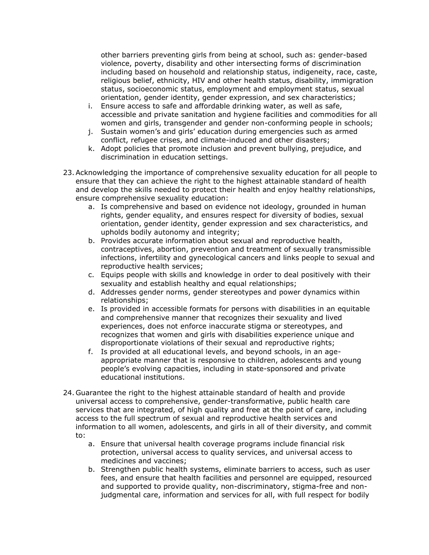other barriers preventing girls from being at school, such as: gender-based violence, poverty, disability and other intersecting forms of discrimination including based on household and relationship status, indigeneity, race, caste, religious belief, ethnicity, HIV and other health status, disability, immigration status, socioeconomic status, employment and employment status, sexual orientation, gender identity, gender expression, and sex characteristics;

- i. Ensure access to safe and affordable drinking water, as well as safe, accessible and private sanitation and hygiene facilities and commodities for all women and girls, transgender and gender non-conforming people in schools;
- j. Sustain women's and girls' education during emergencies such as armed conflict, refugee crises, and climate-induced and other disasters;
- k. Adopt policies that promote inclusion and prevent bullying, prejudice, and discrimination in education settings.
- 23.Acknowledging the importance of comprehensive sexuality education for all people to ensure that they can achieve the right to the highest attainable standard of health and develop the skills needed to protect their health and enjoy healthy relationships, ensure comprehensive sexuality education:
	- a. Is comprehensive and based on evidence not ideology, grounded in human rights, gender equality, and ensures respect for diversity of bodies, sexual orientation, gender identity, gender expression and sex characteristics, and upholds bodily autonomy and integrity;
	- b. Provides accurate information about sexual and reproductive health, contraceptives, abortion, prevention and treatment of sexually transmissible infections, infertility and gynecological cancers and links people to sexual and reproductive health services;
	- c. Equips people with skills and knowledge in order to deal positively with their sexuality and establish healthy and equal relationships;
	- d. Addresses gender norms, gender stereotypes and power dynamics within relationships;
	- e. Is provided in accessible formats for persons with disabilities in an equitable and comprehensive manner that recognizes their sexuality and lived experiences, does not enforce inaccurate stigma or stereotypes, and recognizes that women and girls with disabilities experience unique and disproportionate violations of their sexual and reproductive rights;
	- f. Is provided at all educational levels, and beyond schools, in an ageappropriate manner that is responsive to children, adolescents and young people's evolving capacities, including in state-sponsored and private educational institutions.
- 24. Guarantee the right to the highest attainable standard of health and provide universal access to comprehensive, gender-transformative, public health care services that are integrated, of high quality and free at the point of care, including access to the full spectrum of sexual and reproductive health services and information to all women, adolescents, and girls in all of their diversity, and commit to:
	- a. Ensure that universal health coverage programs include financial risk protection, universal access to quality services, and universal access to medicines and vaccines;
	- b. Strengthen public health systems, eliminate barriers to access, such as user fees, and ensure that health facilities and personnel are equipped, resourced and supported to provide quality, non-discriminatory, stigma-free and nonjudgmental care, information and services for all, with full respect for bodily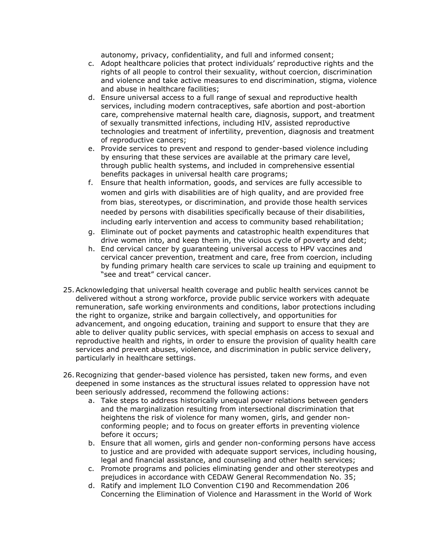autonomy, privacy, confidentiality, and full and informed consent;

- c. Adopt healthcare policies that protect individuals' reproductive rights and the rights of all people to control their sexuality, without coercion, discrimination and violence and take active measures to end discrimination, stigma, violence and abuse in healthcare facilities;
- d. Ensure universal access to a full range of sexual and reproductive health services, including modern contraceptives, safe abortion and post-abortion care, comprehensive maternal health care, diagnosis, support, and treatment of sexually transmitted infections, including HIV, assisted reproductive technologies and treatment of infertility, prevention, diagnosis and treatment of reproductive cancers;
- e. Provide services to prevent and respond to gender-based violence including by ensuring that these services are available at the primary care level, through public health systems, and included in comprehensive essential benefits packages in universal health care programs;
- f. Ensure that health information, goods, and services are fully accessible to women and girls with disabilities are of high quality, and are provided free from bias, stereotypes, or discrimination, and provide those health services needed by persons with disabilities specifically because of their disabilities, including early intervention and access to community based rehabilitation;
- g. Eliminate out of pocket payments and catastrophic health expenditures that drive women into, and keep them in, the vicious cycle of poverty and debt;
- h. End cervical cancer by guaranteeing universal access to HPV vaccines and cervical cancer prevention, treatment and care, free from coercion, including by funding primary health care services to scale up training and equipment to "see and treat" cervical cancer.
- 25.Acknowledging that universal health coverage and public health services cannot be delivered without a strong workforce, provide public service workers with adequate remuneration, safe working environments and conditions, labor protections including the right to organize, strike and bargain collectively, and opportunities for advancement, and ongoing education, training and support to ensure that they are able to deliver quality public services, with special emphasis on access to sexual and reproductive health and rights, in order to ensure the provision of quality health care services and prevent abuses, violence, and discrimination in public service delivery, particularly in healthcare settings.
- 26.Recognizing that gender-based violence has persisted, taken new forms, and even deepened in some instances as the structural issues related to oppression have not been seriously addressed, recommend the following actions:
	- a. Take steps to address historically unequal power relations between genders and the marginalization resulting from intersectional discrimination that heightens the risk of violence for many women, girls, and gender nonconforming people; and to focus on greater efforts in preventing violence before it occurs;
	- b. Ensure that all women, girls and gender non-conforming persons have access to justice and are provided with adequate support services, including housing, legal and financial assistance, and counseling and other health services;
	- c. Promote programs and policies eliminating gender and other stereotypes and prejudices in accordance with CEDAW General Recommendation No. 35;
	- d. Ratify and implement ILO Convention C190 and Recommendation 206 Concerning the Elimination of Violence and Harassment in the World of Work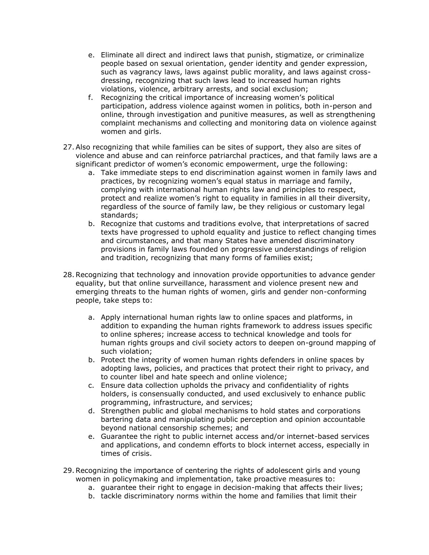- e. Eliminate all direct and indirect laws that punish, stigmatize, or criminalize people based on sexual orientation, gender identity and gender expression, such as vagrancy laws, laws against public morality, and laws against crossdressing, recognizing that such laws lead to increased human rights violations, violence, arbitrary arrests, and social exclusion;
- f. Recognizing the critical importance of increasing women's political participation, address violence against women in politics, both in-person and online, through investigation and punitive measures, as well as strengthening complaint mechanisms and collecting and monitoring data on violence against women and girls.
- 27.Also recognizing that while families can be sites of support, they also are sites of violence and abuse and can reinforce patriarchal practices, and that family laws are a significant predictor of women's economic empowerment, urge the following:
	- a. Take immediate steps to end discrimination against women in family laws and practices, by recognizing women's equal status in marriage and family, complying with international human rights law and principles to respect, protect and realize women's right to equality in families in all their diversity, regardless of the source of family law, be they religious or customary legal standards;
	- b. Recognize that customs and traditions evolve, that interpretations of sacred texts have progressed to uphold equality and justice to reflect changing times and circumstances, and that many States have amended discriminatory provisions in family laws founded on progressive understandings of religion and tradition, recognizing that many forms of families exist;
- 28.Recognizing that technology and innovation provide opportunities to advance gender equality, but that online surveillance, harassment and violence present new and emerging threats to the human rights of women, girls and gender non-conforming people, take steps to:
	- a. Apply international human rights law to online spaces and platforms, in addition to expanding the human rights framework to address issues specific to online spheres; increase access to technical knowledge and tools for human rights groups and civil society actors to deepen on-ground mapping of such violation;
	- b. Protect the integrity of women human rights defenders in online spaces by adopting laws, policies, and practices that protect their right to privacy, and to counter libel and hate speech and online violence;
	- c. Ensure data collection upholds the privacy and confidentiality of rights holders, is consensually conducted, and used exclusively to enhance public programming, infrastructure, and services;
	- d. Strengthen public and global mechanisms to hold states and corporations bartering data and manipulating public perception and opinion accountable beyond national censorship schemes; and
	- e. Guarantee the right to public internet access and/or internet-based services and applications, and condemn efforts to block internet access, especially in times of crisis.
- 29.Recognizing the importance of centering the rights of adolescent girls and young women in policymaking and implementation, take proactive measures to:
	- a. guarantee their right to engage in decision-making that affects their lives;
	- b. tackle discriminatory norms within the home and families that limit their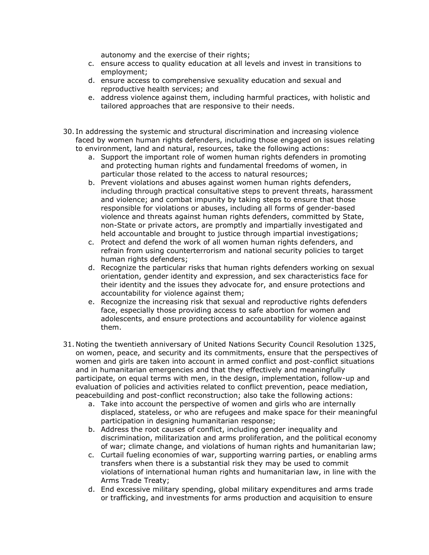autonomy and the exercise of their rights;

- c. ensure access to quality education at all levels and invest in transitions to employment;
- d. ensure access to comprehensive sexuality education and sexual and reproductive health services; and
- e. address violence against them, including harmful practices, with holistic and tailored approaches that are responsive to their needs.
- 30. In addressing the systemic and structural discrimination and increasing violence faced by women human rights defenders, including those engaged on issues relating to environment, land and natural, resources, take the following actions:
	- a. Support the important role of women human rights defenders in promoting and protecting human rights and fundamental freedoms of women, in particular those related to the access to natural resources;
	- b. Prevent violations and abuses against women human rights defenders, including through practical consultative steps to prevent threats, harassment and violence; and combat impunity by taking steps to ensure that those responsible for violations or abuses, including all forms of gender-based violence and threats against human rights defenders, committed by State, non-State or private actors, are promptly and impartially investigated and held accountable and brought to justice through impartial investigations;
	- c. Protect and defend the work of all women human rights defenders, and refrain from using counterterrorism and national security policies to target human rights defenders:
	- d. Recognize the particular risks that human rights defenders working on sexual orientation, gender identity and expression, and sex characteristics face for their identity and the issues they advocate for, and ensure protections and accountability for violence against them;
	- e. Recognize the increasing risk that sexual and reproductive rights defenders face, especially those providing access to safe abortion for women and adolescents, and ensure protections and accountability for violence against them.
- 31. Noting the twentieth anniversary of United Nations Security Council Resolution 1325, on women, peace, and security and its commitments, ensure that the perspectives of women and girls are taken into account in armed conflict and post-conflict situations and in humanitarian emergencies and that they effectively and meaningfully participate, on equal terms with men, in the design, implementation, follow-up and evaluation of policies and activities related to conflict prevention, peace mediation, peacebuilding and post-conflict reconstruction; also take the following actions:
	- a. Take into account the perspective of women and girls who are internally displaced, stateless, or who are refugees and make space for their meaningful participation in designing humanitarian response;
	- b. Address the root causes of conflict, including gender inequality and discrimination, militarization and arms proliferation, and the political economy of war; climate change, and violations of human rights and humanitarian law;
	- c. Curtail fueling economies of war, supporting warring parties, or enabling arms transfers when there is a substantial risk they may be used to commit violations of international human rights and humanitarian law, in line with the Arms Trade Treaty;
	- d. End excessive military spending, global military expenditures and arms trade or trafficking, and investments for arms production and acquisition to ensure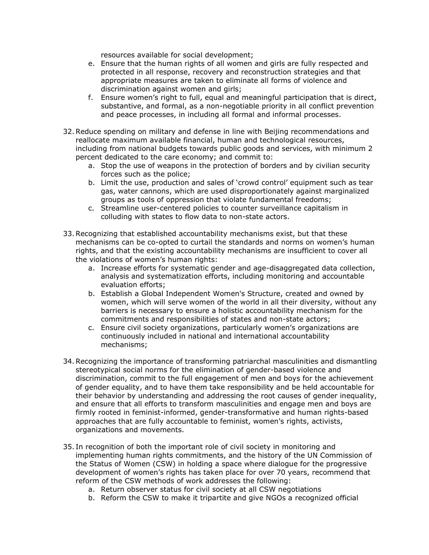resources available for social development;

- e. Ensure that the human rights of all women and girls are fully respected and protected in all response, recovery and reconstruction strategies and that appropriate measures are taken to eliminate all forms of violence and discrimination against women and girls;
- f. Ensure women's right to full, equal and meaningful participation that is direct, substantive, and formal, as a non-negotiable priority in all conflict prevention and peace processes, in including all formal and informal processes.
- 32.Reduce spending on military and defense in line with Beijing recommendations and reallocate maximum available financial, human and technological resources, including from national budgets towards public goods and services, with minimum 2 percent dedicated to the care economy; and commit to:
	- a. Stop the use of weapons in the protection of borders and by civilian security forces such as the police;
	- b. Limit the use, production and sales of 'crowd control' equipment such as tear gas, water cannons, which are used disproportionately against marginalized groups as tools of oppression that violate fundamental freedoms;
	- c. Streamline user-centered policies to counter surveillance capitalism in colluding with states to flow data to non-state actors.
- 33.Recognizing that established accountability mechanisms exist, but that these mechanisms can be co-opted to curtail the standards and norms on women's human rights, and that the existing accountability mechanisms are insufficient to cover all the violations of women's human rights:
	- a. Increase efforts for systematic gender and age-disaggregated data collection, analysis and systematization efforts, including monitoring and accountable evaluation efforts;
	- b. Establish a Global Independent Women's Structure, created and owned by women, which will serve women of the world in all their diversity, without any barriers is necessary to ensure a holistic accountability mechanism for the commitments and responsibilities of states and non-state actors;
	- c. Ensure civil society organizations, particularly women's organizations are continuously included in national and international accountability mechanisms;
- 34.Recognizing the importance of transforming patriarchal masculinities and dismantling stereotypical social norms for the elimination of gender-based violence and discrimination, commit to the full engagement of men and boys for the achievement of gender equality, and to have them take responsibility and be held accountable for their behavior by understanding and addressing the root causes of gender inequality, and ensure that all efforts to transform masculinities and engage men and boys are firmly rooted in feminist-informed, gender-transformative and human rights-based approaches that are fully accountable to feminist, women's rights, activists, organizations and movements.
- 35. In recognition of both the important role of civil society in monitoring and implementing human rights commitments, and the history of the UN Commission of the Status of Women (CSW) in holding a space where dialogue for the progressive development of women's rights has taken place for over 70 years, recommend that reform of the CSW methods of work addresses the following:
	- a. Return observer status for civil society at all CSW negotiations
	- b. Reform the CSW to make it tripartite and give NGOs a recognized official